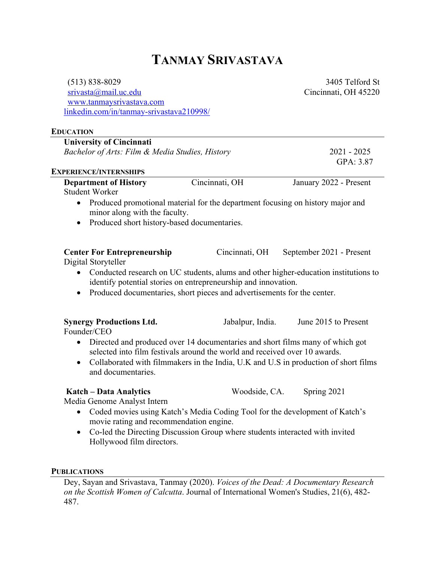## **TANMAY SRIVASTAVA**

(513) 838-8029 srivasta@mail.uc.edu www.tanmaysrivastava.com linkedin.com/in/tanmay-srivastava210998/

3405 Telford St Cincinnati, OH 45220

| <b>EDUCATION</b>                                                                    |                                                                                                                                                             |                                                                                     |
|-------------------------------------------------------------------------------------|-------------------------------------------------------------------------------------------------------------------------------------------------------------|-------------------------------------------------------------------------------------|
| <b>University of Cincinnati</b>                                                     |                                                                                                                                                             |                                                                                     |
| Bachelor of Arts: Film & Media Studies, History                                     |                                                                                                                                                             | $2021 - 2025$                                                                       |
|                                                                                     |                                                                                                                                                             | GPA: 3.87                                                                           |
| <b>EXPERIENCE/INTERNSHIPS</b>                                                       |                                                                                                                                                             |                                                                                     |
| <b>Department of History</b><br><b>Student Worker</b>                               | Cincinnati, OH                                                                                                                                              | January 2022 - Present                                                              |
| $\bullet$<br>minor along with the faculty.                                          | Produced promotional material for the department focusing on history major and                                                                              |                                                                                     |
| Produced short history-based documentaries.<br>$\bullet$                            |                                                                                                                                                             |                                                                                     |
| <b>Center For Entrepreneurship</b><br>Digital Storyteller                           | Cincinnati, OH                                                                                                                                              | September 2021 - Present                                                            |
|                                                                                     | identify potential stories on entrepreneurship and innovation.<br>Produced documentaries, short pieces and advertisements for the center.                   | Conducted research on UC students, alums and other higher-education institutions to |
|                                                                                     |                                                                                                                                                             |                                                                                     |
| <b>Synergy Productions Ltd.</b><br>Founder/CEO                                      | Jabalpur, India.                                                                                                                                            | June 2015 to Present                                                                |
| $\bullet$<br>$\bullet$<br>and documentaries.                                        | Directed and produced over 14 documentaries and short films many of which got<br>selected into film festivals around the world and received over 10 awards. | Collaborated with filmmakers in the India, U.K and U.S in production of short films |
| Katch - Data Analytics                                                              | Woodside, CA.                                                                                                                                               | Spring 2021                                                                         |
| Media Genome Analyst Intern<br>$\bullet$<br>movie rating and recommendation engine. | Coded movies using Katch's Media Coding Tool for the development of Katch's                                                                                 |                                                                                     |
| $\bullet$<br>Hollywood film directors.                                              | Co-led the Directing Discussion Group where students interacted with invited                                                                                |                                                                                     |

## **PUBLICATIONS**

Dey, Sayan and Srivastava, Tanmay (2020). *Voices of the Dead: A Documentary Research on the Scottish Women of Calcutta*. Journal of International Women's Studies, 21(6), 482- 487.